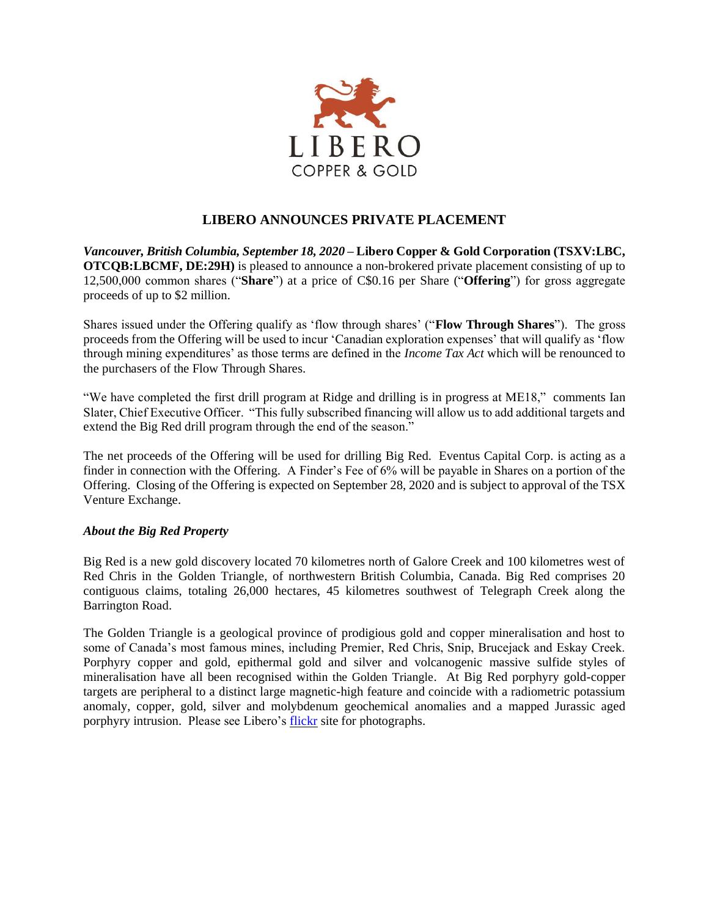

## **LIBERO ANNOUNCES PRIVATE PLACEMENT**

*Vancouver, British Columbia, September 18, 2020* **– Libero Copper & Gold Corporation (TSXV:LBC, OTCQB:LBCMF, DE:29H)** is pleased to announce a non-brokered private placement consisting of up to 12,500,000 common shares ("**Share**") at a price of C\$0.16 per Share ("**Offering**") for gross aggregate proceeds of up to \$2 million.

Shares issued under the Offering qualify as 'flow through shares' ("**Flow Through Shares**"). The gross proceeds from the Offering will be used to incur 'Canadian exploration expenses' that will qualify as 'flow through mining expenditures' as those terms are defined in the *Income Tax Act* which will be renounced to the purchasers of the Flow Through Shares.

"We have completed the first drill program at Ridge and drilling is in progress at ME18," comments Ian Slater, Chief Executive Officer. "This fully subscribed financing will allow us to add additional targets and extend the Big Red drill program through the end of the season."

The net proceeds of the Offering will be used for drilling Big Red. Eventus Capital Corp. is acting as a finder in connection with the Offering. A Finder's Fee of 6% will be payable in Shares on a portion of the Offering. Closing of the Offering is expected on September 28, 2020 and is subject to approval of the TSX Venture Exchange.

## *About the Big Red Property*

Big Red is a new gold discovery located 70 kilometres north of Galore Creek and 100 kilometres west of Red Chris in the Golden Triangle, of northwestern British Columbia, Canada. Big Red comprises 20 contiguous claims, totaling 26,000 hectares, 45 kilometres southwest of Telegraph Creek along the Barrington Road.

The Golden Triangle is a geological province of prodigious gold and copper mineralisation and host to some of Canada's most famous mines, including Premier, Red Chris, Snip, Brucejack and Eskay Creek. Porphyry copper and gold, epithermal gold and silver and volcanogenic massive sulfide styles of mineralisation have all been recognised within the Golden Triangle. At Big Red porphyry gold-copper targets are peripheral to a distinct large magnetic-high feature and coincide with a radiometric potassium anomaly, copper, gold, silver and molybdenum geochemical anomalies and a mapped Jurassic aged porphyry intrusion. Please see Libero's [flickr](https://www.flickr.com/photos/150654141@N07/albums) site for photographs.